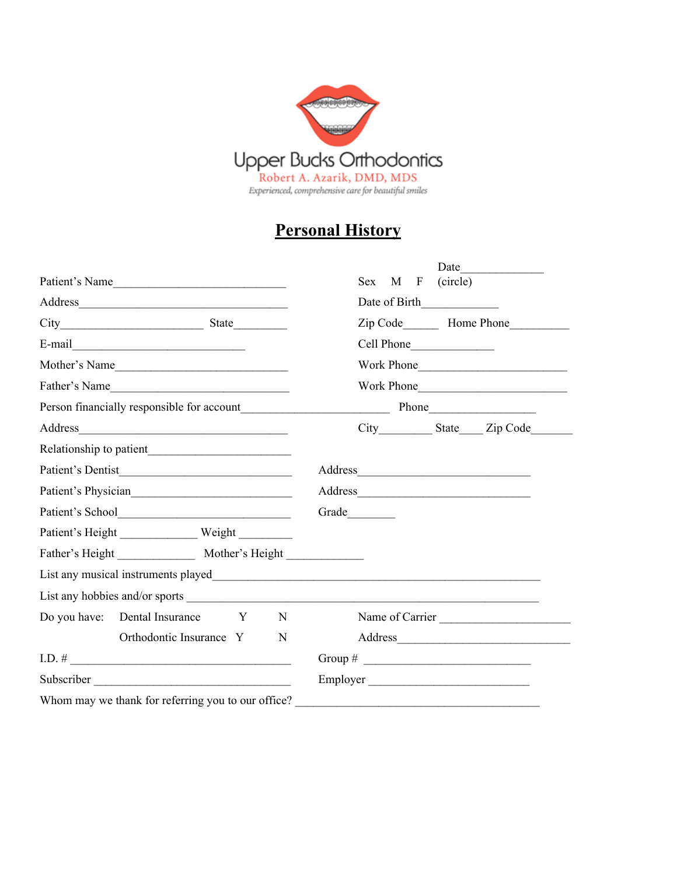

## **Personal History**

|                                                                                                                                                                                                                                  | Date                                                                                                                 |
|----------------------------------------------------------------------------------------------------------------------------------------------------------------------------------------------------------------------------------|----------------------------------------------------------------------------------------------------------------------|
| Patient's Name                                                                                                                                                                                                                   | (circle)<br>Sex<br>M<br>F                                                                                            |
|                                                                                                                                                                                                                                  | Date of Birth                                                                                                        |
|                                                                                                                                                                                                                                  |                                                                                                                      |
| $E-mail$ and $I$ and $I$ and $I$ and $I$ and $I$ and $I$ and $I$ and $I$ and $I$ and $I$ and $I$ and $I$ and $I$ and $I$ and $I$ and $I$ and $I$ and $I$ and $I$ and $I$ and $I$ and $I$ and $I$ and $I$ and $I$ and $I$ and $I$ |                                                                                                                      |
| Mother's Name                                                                                                                                                                                                                    | Work Phone                                                                                                           |
| Father's Name                                                                                                                                                                                                                    |                                                                                                                      |
| Person financially responsible for account<br>Thone<br>Phone<br>Phone                                                                                                                                                            |                                                                                                                      |
|                                                                                                                                                                                                                                  | City State Zip Code                                                                                                  |
|                                                                                                                                                                                                                                  |                                                                                                                      |
|                                                                                                                                                                                                                                  |                                                                                                                      |
| Patient's Physician                                                                                                                                                                                                              |                                                                                                                      |
|                                                                                                                                                                                                                                  | Grade                                                                                                                |
|                                                                                                                                                                                                                                  |                                                                                                                      |
|                                                                                                                                                                                                                                  |                                                                                                                      |
|                                                                                                                                                                                                                                  |                                                                                                                      |
|                                                                                                                                                                                                                                  |                                                                                                                      |
| Do you have: Dental Insurance Y<br>N                                                                                                                                                                                             | Name of Carrier                                                                                                      |
| Orthodontic Insurance Y<br>N                                                                                                                                                                                                     |                                                                                                                      |
| $I.D. # \_$                                                                                                                                                                                                                      | Group # $\qquad \qquad$                                                                                              |
|                                                                                                                                                                                                                                  | Employer                                                                                                             |
| Whom may we thank for referring you to our office?                                                                                                                                                                               | <u> 2000 - Jan Barbarat, martin amerikan basar dan berasal dalam basas dalam basas dalam basas dalam basas dalam</u> |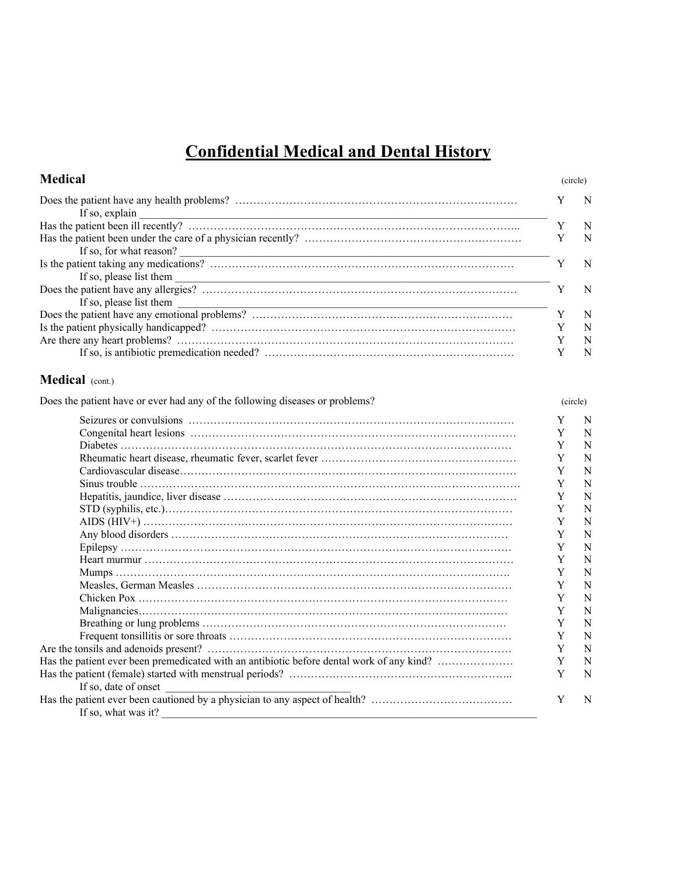## **Confidential Medical and Dental History**

| <b>Medical</b>                                                                                  |             | (circle) |  |
|-------------------------------------------------------------------------------------------------|-------------|----------|--|
| If so, explain                                                                                  | Y           | N        |  |
|                                                                                                 | Y           | N        |  |
|                                                                                                 | Y           | N        |  |
|                                                                                                 |             |          |  |
|                                                                                                 | Y           | N        |  |
|                                                                                                 |             |          |  |
|                                                                                                 | Y           | N        |  |
| If so, please list them                                                                         |             |          |  |
|                                                                                                 | $\mathbf Y$ | N        |  |
|                                                                                                 | Y           | N        |  |
|                                                                                                 | Y           | N        |  |
|                                                                                                 | Y           | N        |  |
| Medical (cont.)                                                                                 |             |          |  |
| Does the patient have or ever had any of the following diseases or problems?                    |             | (circle) |  |
|                                                                                                 | Y           | N        |  |
|                                                                                                 | Y           | N        |  |
|                                                                                                 | Y           | N        |  |
|                                                                                                 | Y           | N        |  |
|                                                                                                 | $\mathbf Y$ | N        |  |
|                                                                                                 | Y           | N        |  |
|                                                                                                 | Y           | N        |  |
|                                                                                                 | Y           | N        |  |
|                                                                                                 | Y           | N        |  |
|                                                                                                 | Y           | N        |  |
|                                                                                                 | Y           | N        |  |
|                                                                                                 | Y           | N        |  |
|                                                                                                 | Y           | N        |  |
|                                                                                                 | Y           | N        |  |
|                                                                                                 | Y           | N        |  |
|                                                                                                 | Y           | N        |  |
|                                                                                                 | Y           | N        |  |
|                                                                                                 | Y           | N        |  |
|                                                                                                 | Y           | N        |  |
| Has the patient ever been premedicated with an antibiotic before dental work of any kind?       | Y           | N        |  |
|                                                                                                 | Y           | N        |  |
| If so, date of onset                                                                            |             |          |  |
|                                                                                                 | Y           | N        |  |
| If so, what was it?<br><u> 1989 - Johann John Stein, mars an deus Amerikaansk kommunister (</u> |             |          |  |